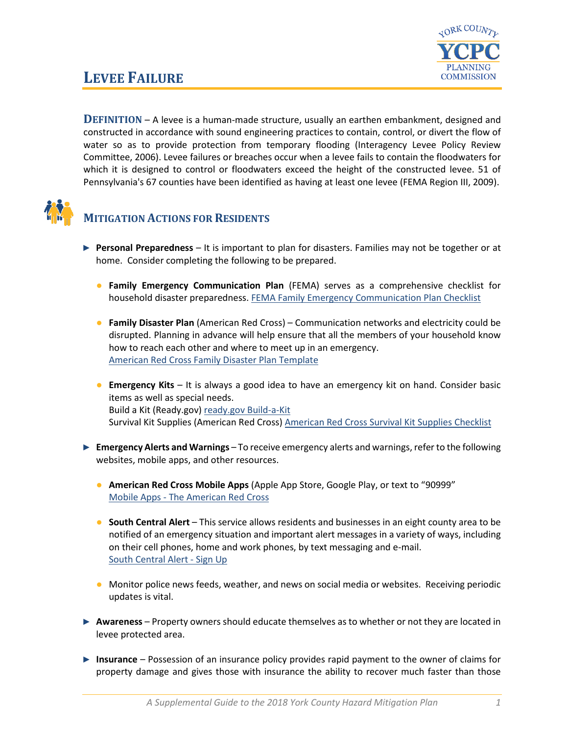

## **LEVEE FAILURE**

**DEFINITION** – A levee is a human-made structure, usually an earthen embankment, designed and constructed in accordance with sound engineering practices to contain, control, or divert the flow of water so as to provide protection from temporary flooding (Interagency Levee Policy Review Committee, 2006). Levee failures or breaches occur when a levee fails to contain the floodwaters for which it is designed to control or floodwaters exceed the height of the constructed levee. 51 of Pennsylvania's 67 counties have been identified as having at least one levee (FEMA Region III, 2009).



## **MITIGATION ACTIONS FOR RESIDENTS**

- ► **Personal Preparedness** It is important to plan for disasters. Families may not be together or at home. Consider completing the following to be prepared.
	- **Family Emergency Communication Plan** (FEMA) serves as a comprehensive checklist for household disaster preparedness. [FEMA Family Emergency Communication Plan Checklist](https://www.fema.gov/media-library-data/1530826217620-10775bfcb5d7600be8e6b88308b24d8c/P1094_CreateYourFamilyEmergencyCommunicationPlan_070318.pdf)
	- **Family Disaster Plan** (American Red Cross) Communication networks and electricity could be disrupted. Planning in advance will help ensure that all the members of your household know how to reach each other and where to meet up in an emergency. [American Red Cross Family Disaster Plan Template](https://www.redcross.org/content/dam/redcross/atg/PDF_s/Preparedness___Disaster_Recovery/General_Preparedness___Recovery/Home/ARC_Family_Disaster_Plan_Template_r083012.pdf)
	- **Emergency Kits** It is always a good idea to have an emergency kit on hand. Consider basic items as well as special needs. Build a Kit (Ready.gov) [ready.gov Build-a-Kit](https://www.ready.gov/build-a-kit) Survival Kit Supplies (American Red Cross) [American Red Cross Survival Kit Supplies Checklist](https://www.redcross.org/get-help/how-to-prepare-for-emergencies/survival-kit-supplies.html)
- ► **Emergency Alerts and Warnings** To receive emergency alerts and warnings, refer to the following websites, mobile apps, and other resources.
	- **American Red Cross Mobile Apps** (Apple App Store, Google Play, or text to "90999" Mobile Apps - [The American Red Cross](https://www.redcross.org/get-help/how-to-prepare-for-emergencies/mobile-apps.html)
	- **South Central Alert** This service allows residents and businesses in an eight county area to be notified of an emergency situation and important alert messages in a variety of ways, including on their cell phones, home and work phones, by text messaging and e-mail. [South Central Alert -](https://www.sctfpa.org/sc-alert.php) Sign Up
	- Monitor police news feeds, weather, and news on social media or websites. Receiving periodic updates is vital.
- ► **Awareness** Property owners should educate themselves as to whether or not they are located in levee protected area.
- ► **Insurance** Possession of an insurance policy provides rapid payment to the owner of claims for property damage and gives those with insurance the ability to recover much faster than those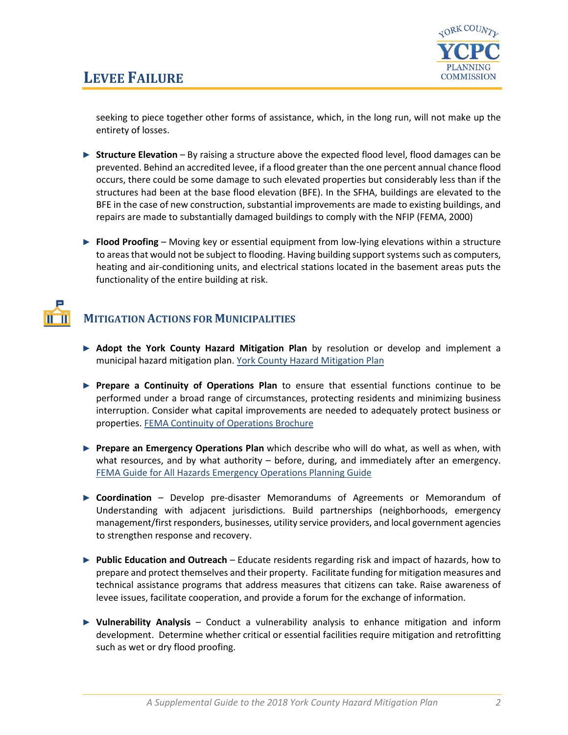

seeking to piece together other forms of assistance, which, in the long run, will not make up the entirety of losses.

- ► **Structure Elevation** By raising a structure above the expected flood level, flood damages can be prevented. Behind an accredited levee, if a flood greater than the one percent annual chance flood occurs, there could be some damage to such elevated properties but considerably less than if the structures had been at the base flood elevation (BFE). In the SFHA, buildings are elevated to the BFE in the case of new construction, substantial improvements are made to existing buildings, and repairs are made to substantially damaged buildings to comply with the NFIP (FEMA, 2000)
- ► **Flood Proofing** Moving key or essential equipment from low-lying elevations within a structure to areas that would not be subject to flooding. Having building support systems such as computers, heating and air-conditioning units, and electrical stations located in the basement areas puts the functionality of the entire building at risk.

## **MITIGATION ACTIONS FOR MUNICIPALITIES**

- ► **Adopt the York County Hazard Mitigation Plan** by resolution or develop and implement a municipal hazard mitigation plan. [York County Hazard Mitigation Plan](http://ycpc.org/DocumentCenter/View/290/Hazard-Mitigation-Plan-PDF)
- ► **Prepare a Continuity of Operations Plan** to ensure that essential functions continue to be performed under a broad range of circumstances, protecting residents and minimizing business interruption. Consider what capital improvements are needed to adequately protect business or properties[. FEMA Continuity of Operations Brochure](https://www.fema.gov/pdf/about/org/ncp/coop_brochure.pdf)
- ► **Prepare an Emergency Operations Plan** which describe who will do what, as well as when, with what resources, and by what authority – before, during, and immediately after an emergency. [FEMA Guide for All Hazards Emergency Operations Planning Guide](https://www.fema.gov/pdf/plan/slg101.pdf)
- ► **Coordination** Develop pre-disaster Memorandums of Agreements or Memorandum of Understanding with adjacent jurisdictions. Build partnerships (neighborhoods, emergency management/first responders, businesses, utility service providers, and local government agencies to strengthen response and recovery.
- ► **Public Education and Outreach** Educate residents regarding risk and impact of hazards, how to prepare and protect themselves and their property. Facilitate funding for mitigation measures and technical assistance programs that address measures that citizens can take. Raise awareness of levee issues, facilitate cooperation, and provide a forum for the exchange of information.
- ► **Vulnerability Analysis** Conduct a vulnerability analysis to enhance mitigation and inform development. Determine whether critical or essential facilities require mitigation and retrofitting such as wet or dry flood proofing.